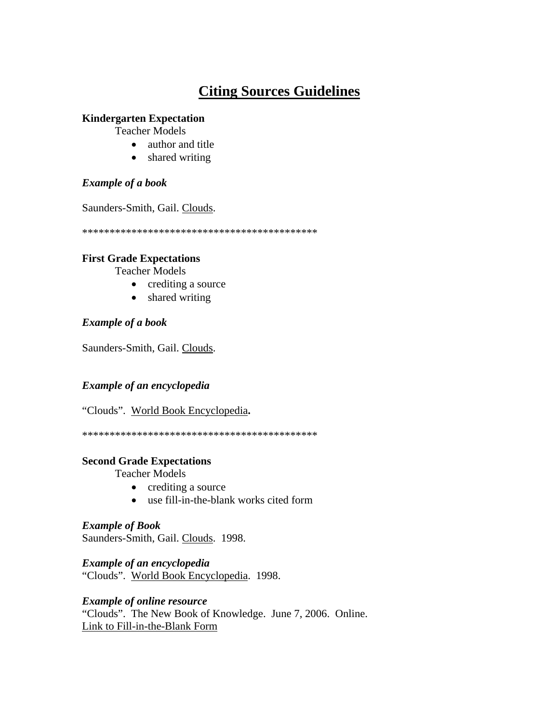# **Citing Sources Guidelines**

### **Kindergarten Expectation**

Teacher Models

- author and title
- shared writing

# *Example of a book*

Saunders-Smith, Gail. Clouds.

\*\*\*\*\*\*\*\*\*\*\*\*\*\*\*\*\*\*\*\*\*\*\*\*\*\*\*\*\*\*\*\*\*\*\*\*\*\*\*\*\*\*\*

### **First Grade Expectations**

Teacher Models

- crediting a source
- shared writing

# *Example of a book*

Saunders-Smith, Gail. Clouds.

# *Example of an encyclopedia*

"Clouds".World Book Encyclopedia**.** 

\*\*\*\*\*\*\*\*\*\*\*\*\*\*\*\*\*\*\*\*\*\*\*\*\*\*\*\*\*\*\*\*\*\*\*\*\*\*\*\*\*\*\*

## **Second Grade Expectations**

Teacher Models

- crediting a source
- use fill-in-the-blank works cited form

### *Example of Book*  Saunders-Smith, Gail. Clouds. 1998.

*Example of an encyclopedia*  "Clouds".World Book Encyclopedia. 1998.

# *Example of online resource*

"Clouds". The New Book of Knowledge. June 7, 2006. Online. Link to Fill-in-the-Blank Form